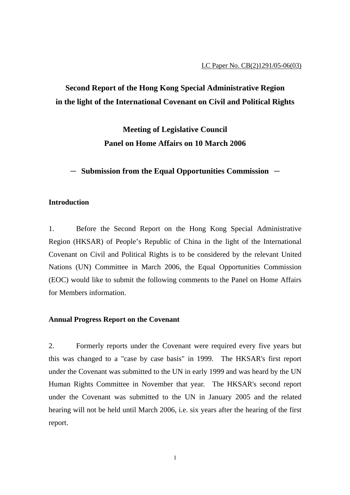# **Second Report of the Hong Kong Special Administrative Region in the light of the International Covenant on Civil and Political Rights**

**Meeting of Legislative Council Panel on Home Affairs on 10 March 2006** 

 $-$  Submission from the Equal Opportunities Commission  $-$ 

### **Introduction**

1. Before the Second Report on the Hong Kong Special Administrative Region (HKSAR) of People's Republic of China in the light of the International Covenant on Civil and Political Rights is to be considered by the relevant United Nations (UN) Committee in March 2006, the Equal Opportunities Commission (EOC) would like to submit the following comments to the Panel on Home Affairs for Members information.

### **Annual Progress Report on the Covenant**

2. Formerly reports under the Covenant were required every five years but this was changed to a "case by case basis" in 1999. The HKSAR's first report under the Covenant was submitted to the UN in early 1999 and was heard by the UN Human Rights Committee in November that year. The HKSAR's second report under the Covenant was submitted to the UN in January 2005 and the related hearing will not be held until March 2006, i.e. six years after the hearing of the first report.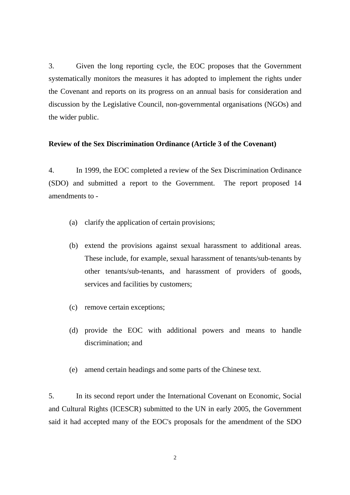3. Given the long reporting cycle, the EOC proposes that the Government systematically monitors the measures it has adopted to implement the rights under the Covenant and reports on its progress on an annual basis for consideration and discussion by the Legislative Council, non-governmental organisations (NGOs) and the wider public.

#### **Review of the Sex Discrimination Ordinance (Article 3 of the Covenant)**

4. In 1999, the EOC completed a review of the Sex Discrimination Ordinance (SDO) and submitted a report to the Government. The report proposed 14 amendments to -

- (a) clarify the application of certain provisions;
- (b) extend the provisions against sexual harassment to additional areas. These include, for example, sexual harassment of tenants/sub-tenants by other tenants/sub-tenants, and harassment of providers of goods, services and facilities by customers;
- (c) remove certain exceptions;
- (d) provide the EOC with additional powers and means to handle discrimination; and
- (e) amend certain headings and some parts of the Chinese text.

5. In its second report under the International Covenant on Economic, Social and Cultural Rights (ICESCR) submitted to the UN in early 2005, the Government said it had accepted many of the EOC's proposals for the amendment of the SDO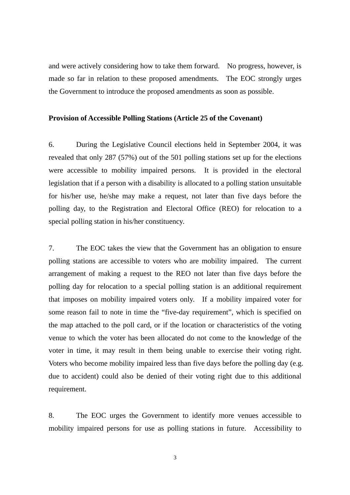and were actively considering how to take them forward. No progress, however, is made so far in relation to these proposed amendments. The EOC strongly urges the Government to introduce the proposed amendments as soon as possible.

#### **Provision of Accessible Polling Stations (Article 25 of the Covenant)**

6. During the Legislative Council elections held in September 2004, it was revealed that only 287 (57%) out of the 501 polling stations set up for the elections were accessible to mobility impaired persons. It is provided in the electoral legislation that if a person with a disability is allocated to a polling station unsuitable for his/her use, he/she may make a request, not later than five days before the polling day, to the Registration and Electoral Office (REO) for relocation to a special polling station in his/her constituency.

7. The EOC takes the view that the Government has an obligation to ensure polling stations are accessible to voters who are mobility impaired. The current arrangement of making a request to the REO not later than five days before the polling day for relocation to a special polling station is an additional requirement that imposes on mobility impaired voters only. If a mobility impaired voter for some reason fail to note in time the "five-day requirement", which is specified on the map attached to the poll card, or if the location or characteristics of the voting venue to which the voter has been allocated do not come to the knowledge of the voter in time, it may result in them being unable to exercise their voting right. Voters who become mobility impaired less than five days before the polling day (e.g. due to accident) could also be denied of their voting right due to this additional requirement.

8. The EOC urges the Government to identify more venues accessible to mobility impaired persons for use as polling stations in future. Accessibility to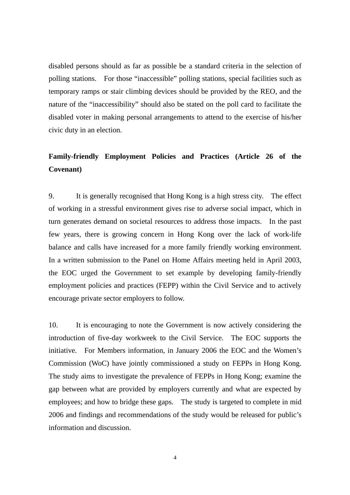disabled persons should as far as possible be a standard criteria in the selection of polling stations. For those "inaccessible" polling stations, special facilities such as temporary ramps or stair climbing devices should be provided by the REO, and the nature of the "inaccessibility" should also be stated on the poll card to facilitate the disabled voter in making personal arrangements to attend to the exercise of his/her civic duty in an election.

# **Family-friendly Employment Policies and Practices (Article 26 of the Covenant)**

9. It is generally recognised that Hong Kong is a high stress city. The effect of working in a stressful environment gives rise to adverse social impact, which in turn generates demand on societal resources to address those impacts. In the past few years, there is growing concern in Hong Kong over the lack of work-life balance and calls have increased for a more family friendly working environment. In a written submission to the Panel on Home Affairs meeting held in April 2003, the EOC urged the Government to set example by developing family-friendly employment policies and practices (FEPP) within the Civil Service and to actively encourage private sector employers to follow.

10. It is encouraging to note the Government is now actively considering the introduction of five-day workweek to the Civil Service. The EOC supports the initiative. For Members information, in January 2006 the EOC and the Women's Commission (WoC) have jointly commissioned a study on FEPPs in Hong Kong. The study aims to investigate the prevalence of FEPPs in Hong Kong; examine the gap between what are provided by employers currently and what are expected by employees; and how to bridge these gaps. The study is targeted to complete in mid 2006 and findings and recommendations of the study would be released for public's information and discussion.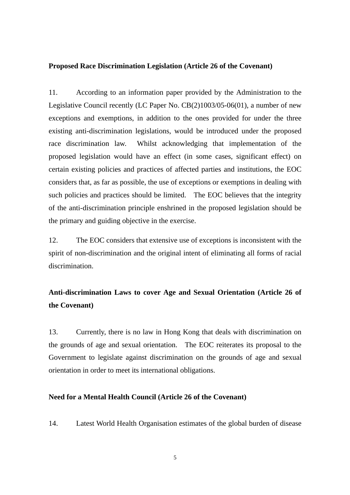#### **Proposed Race Discrimination Legislation (Article 26 of the Covenant)**

11. According to an information paper provided by the Administration to the Legislative Council recently (LC Paper No. CB(2)1003/05-06(01), a number of new exceptions and exemptions, in addition to the ones provided for under the three existing anti-discrimination legislations, would be introduced under the proposed race discrimination law. Whilst acknowledging that implementation of the proposed legislation would have an effect (in some cases, significant effect) on certain existing policies and practices of affected parties and institutions, the EOC considers that, as far as possible, the use of exceptions or exemptions in dealing with such policies and practices should be limited. The EOC believes that the integrity of the anti-discrimination principle enshrined in the proposed legislation should be the primary and guiding objective in the exercise.

12. The EOC considers that extensive use of exceptions is inconsistent with the spirit of non-discrimination and the original intent of eliminating all forms of racial discrimination.

# **Anti-discrimination Laws to cover Age and Sexual Orientation (Article 26 of the Covenant)**

13. Currently, there is no law in Hong Kong that deals with discrimination on the grounds of age and sexual orientation. The EOC reiterates its proposal to the Government to legislate against discrimination on the grounds of age and sexual orientation in order to meet its international obligations.

### **Need for a Mental Health Council (Article 26 of the Covenant)**

14. Latest World Health Organisation estimates of the global burden of disease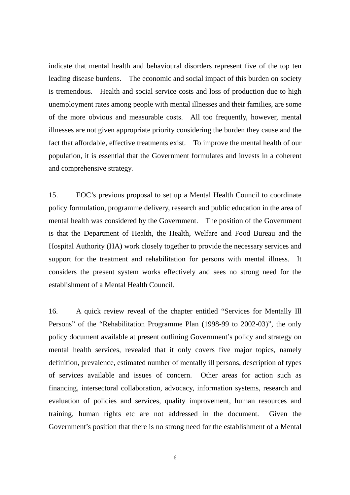indicate that mental health and behavioural disorders represent five of the top ten leading disease burdens. The economic and social impact of this burden on society is tremendous. Health and social service costs and loss of production due to high unemployment rates among people with mental illnesses and their families, are some of the more obvious and measurable costs. All too frequently, however, mental illnesses are not given appropriate priority considering the burden they cause and the fact that affordable, effective treatments exist. To improve the mental health of our population, it is essential that the Government formulates and invests in a coherent and comprehensive strategy.

15. EOC's previous proposal to set up a Mental Health Council to coordinate policy formulation, programme delivery, research and public education in the area of mental health was considered by the Government. The position of the Government is that the Department of Health, the Health, Welfare and Food Bureau and the Hospital Authority (HA) work closely together to provide the necessary services and support for the treatment and rehabilitation for persons with mental illness. It considers the present system works effectively and sees no strong need for the establishment of a Mental Health Council.

16. A quick review reveal of the chapter entitled "Services for Mentally Ill Persons" of the "Rehabilitation Programme Plan (1998-99 to 2002-03)", the only policy document available at present outlining Government's policy and strategy on mental health services, revealed that it only covers five major topics, namely definition, prevalence, estimated number of mentally ill persons, description of types of services available and issues of concern. Other areas for action such as financing, intersectoral collaboration, advocacy, information systems, research and evaluation of policies and services, quality improvement, human resources and training, human rights etc are not addressed in the document. Given the Government's position that there is no strong need for the establishment of a Mental